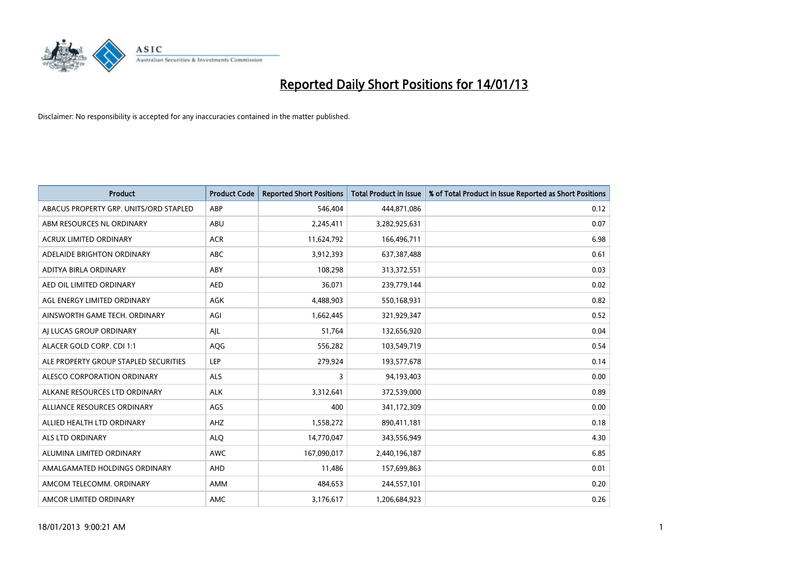

| <b>Product</b>                         | <b>Product Code</b> | <b>Reported Short Positions</b> | <b>Total Product in Issue</b> | % of Total Product in Issue Reported as Short Positions |
|----------------------------------------|---------------------|---------------------------------|-------------------------------|---------------------------------------------------------|
| ABACUS PROPERTY GRP. UNITS/ORD STAPLED | ABP                 | 546,404                         | 444,871,086                   | 0.12                                                    |
| ABM RESOURCES NL ORDINARY              | ABU                 | 2,245,411                       | 3,282,925,631                 | 0.07                                                    |
| <b>ACRUX LIMITED ORDINARY</b>          | <b>ACR</b>          | 11,624,792                      | 166,496,711                   | 6.98                                                    |
| ADELAIDE BRIGHTON ORDINARY             | <b>ABC</b>          | 3,912,393                       | 637,387,488                   | 0.61                                                    |
| <b>ADITYA BIRLA ORDINARY</b>           | ABY                 | 108,298                         | 313,372,551                   | 0.03                                                    |
| AED OIL LIMITED ORDINARY               | <b>AED</b>          | 36,071                          | 239,779,144                   | 0.02                                                    |
| AGL ENERGY LIMITED ORDINARY            | <b>AGK</b>          | 4,488,903                       | 550,168,931                   | 0.82                                                    |
| AINSWORTH GAME TECH. ORDINARY          | AGI                 | 1,662,445                       | 321,929,347                   | 0.52                                                    |
| AI LUCAS GROUP ORDINARY                | AJL                 | 51,764                          | 132,656,920                   | 0.04                                                    |
| ALACER GOLD CORP. CDI 1:1              | AQG                 | 556,282                         | 103,549,719                   | 0.54                                                    |
| ALE PROPERTY GROUP STAPLED SECURITIES  | <b>LEP</b>          | 279,924                         | 193,577,678                   | 0.14                                                    |
| <b>ALESCO CORPORATION ORDINARY</b>     | <b>ALS</b>          | 3                               | 94,193,403                    | 0.00                                                    |
| ALKANE RESOURCES LTD ORDINARY          | <b>ALK</b>          | 3,312,641                       | 372,539,000                   | 0.89                                                    |
| ALLIANCE RESOURCES ORDINARY            | AGS                 | 400                             | 341,172,309                   | 0.00                                                    |
| ALLIED HEALTH LTD ORDINARY             | AHZ                 | 1,558,272                       | 890,411,181                   | 0.18                                                    |
| ALS LTD ORDINARY                       | <b>ALO</b>          | 14,770,047                      | 343,556,949                   | 4.30                                                    |
| ALUMINA LIMITED ORDINARY               | <b>AWC</b>          | 167,090,017                     | 2,440,196,187                 | 6.85                                                    |
| AMALGAMATED HOLDINGS ORDINARY          | <b>AHD</b>          | 11,486                          | 157,699,863                   | 0.01                                                    |
| AMCOM TELECOMM, ORDINARY               | AMM                 | 484,653                         | 244,557,101                   | 0.20                                                    |
| AMCOR LIMITED ORDINARY                 | AMC                 | 3,176,617                       | 1,206,684,923                 | 0.26                                                    |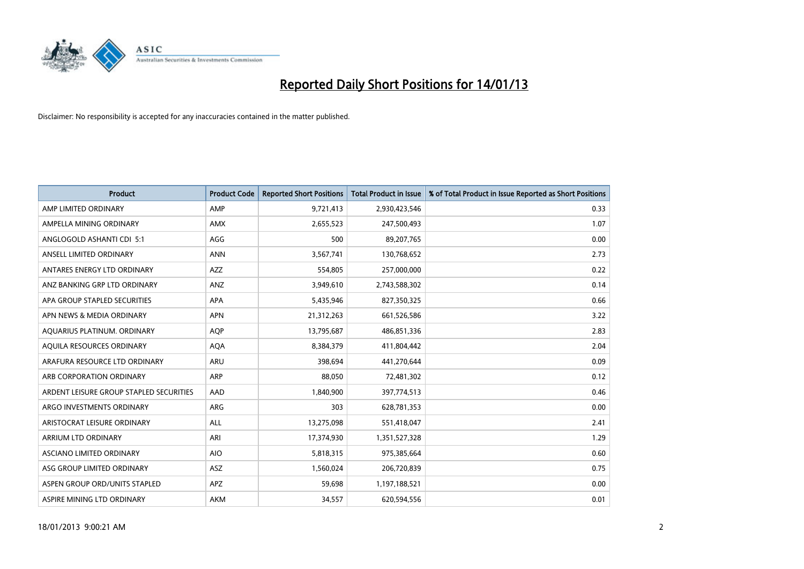

| <b>Product</b>                          | <b>Product Code</b> | <b>Reported Short Positions</b> | <b>Total Product in Issue</b> | % of Total Product in Issue Reported as Short Positions |
|-----------------------------------------|---------------------|---------------------------------|-------------------------------|---------------------------------------------------------|
| AMP LIMITED ORDINARY                    | AMP                 | 9,721,413                       | 2,930,423,546                 | 0.33                                                    |
| AMPELLA MINING ORDINARY                 | <b>AMX</b>          | 2,655,523                       | 247,500,493                   | 1.07                                                    |
| ANGLOGOLD ASHANTI CDI 5:1               | AGG                 | 500                             | 89,207,765                    | 0.00                                                    |
| ANSELL LIMITED ORDINARY                 | <b>ANN</b>          | 3,567,741                       | 130,768,652                   | 2.73                                                    |
| ANTARES ENERGY LTD ORDINARY             | <b>AZZ</b>          | 554,805                         | 257,000,000                   | 0.22                                                    |
| ANZ BANKING GRP LTD ORDINARY            | ANZ                 | 3,949,610                       | 2,743,588,302                 | 0.14                                                    |
| APA GROUP STAPLED SECURITIES            | <b>APA</b>          | 5,435,946                       | 827,350,325                   | 0.66                                                    |
| APN NEWS & MEDIA ORDINARY               | <b>APN</b>          | 21,312,263                      | 661,526,586                   | 3.22                                                    |
| AQUARIUS PLATINUM. ORDINARY             | <b>AOP</b>          | 13,795,687                      | 486,851,336                   | 2.83                                                    |
| AQUILA RESOURCES ORDINARY               | <b>AQA</b>          | 8,384,379                       | 411,804,442                   | 2.04                                                    |
| ARAFURA RESOURCE LTD ORDINARY           | ARU                 | 398,694                         | 441,270,644                   | 0.09                                                    |
| ARB CORPORATION ORDINARY                | <b>ARP</b>          | 88,050                          | 72,481,302                    | 0.12                                                    |
| ARDENT LEISURE GROUP STAPLED SECURITIES | AAD                 | 1,840,900                       | 397,774,513                   | 0.46                                                    |
| ARGO INVESTMENTS ORDINARY               | ARG                 | 303                             | 628,781,353                   | 0.00                                                    |
| ARISTOCRAT LEISURE ORDINARY             | <b>ALL</b>          | 13,275,098                      | 551,418,047                   | 2.41                                                    |
| ARRIUM LTD ORDINARY                     | ARI                 | 17,374,930                      | 1,351,527,328                 | 1.29                                                    |
| ASCIANO LIMITED ORDINARY                | <b>AIO</b>          | 5,818,315                       | 975,385,664                   | 0.60                                                    |
| ASG GROUP LIMITED ORDINARY              | <b>ASZ</b>          | 1,560,024                       | 206,720,839                   | 0.75                                                    |
| ASPEN GROUP ORD/UNITS STAPLED           | <b>APZ</b>          | 59,698                          | 1,197,188,521                 | 0.00                                                    |
| ASPIRE MINING LTD ORDINARY              | <b>AKM</b>          | 34,557                          | 620,594,556                   | 0.01                                                    |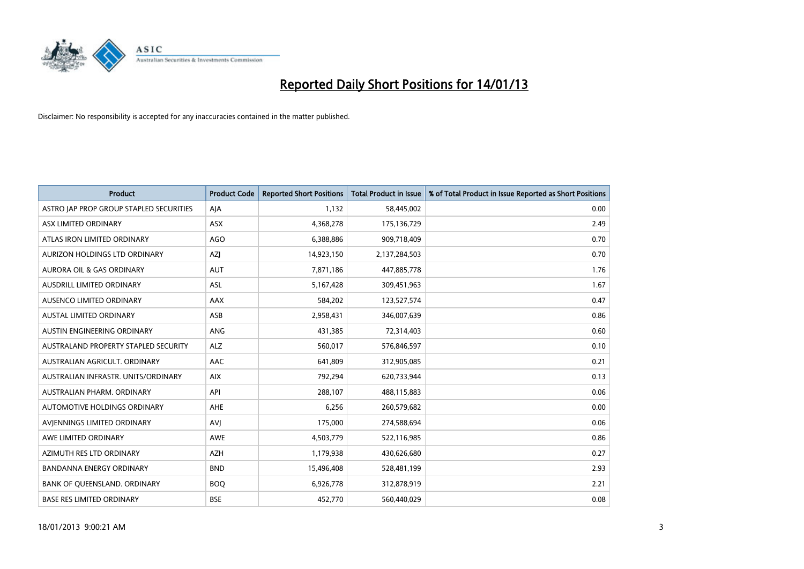

| <b>Product</b>                          | <b>Product Code</b> | <b>Reported Short Positions</b> | <b>Total Product in Issue</b> | % of Total Product in Issue Reported as Short Positions |
|-----------------------------------------|---------------------|---------------------------------|-------------------------------|---------------------------------------------------------|
| ASTRO JAP PROP GROUP STAPLED SECURITIES | AJA                 | 1.132                           | 58,445,002                    | 0.00                                                    |
| ASX LIMITED ORDINARY                    | <b>ASX</b>          | 4,368,278                       | 175,136,729                   | 2.49                                                    |
| ATLAS IRON LIMITED ORDINARY             | AGO                 | 6,388,886                       | 909,718,409                   | 0.70                                                    |
| AURIZON HOLDINGS LTD ORDINARY           | AZJ                 | 14,923,150                      | 2,137,284,503                 | 0.70                                                    |
| <b>AURORA OIL &amp; GAS ORDINARY</b>    | <b>AUT</b>          | 7,871,186                       | 447,885,778                   | 1.76                                                    |
| AUSDRILL LIMITED ORDINARY               | <b>ASL</b>          | 5,167,428                       | 309,451,963                   | 1.67                                                    |
| AUSENCO LIMITED ORDINARY                | AAX                 | 584,202                         | 123,527,574                   | 0.47                                                    |
| <b>AUSTAL LIMITED ORDINARY</b>          | ASB                 | 2,958,431                       | 346,007,639                   | 0.86                                                    |
| AUSTIN ENGINEERING ORDINARY             | <b>ANG</b>          | 431,385                         | 72,314,403                    | 0.60                                                    |
| AUSTRALAND PROPERTY STAPLED SECURITY    | <b>ALZ</b>          | 560,017                         | 576,846,597                   | 0.10                                                    |
| AUSTRALIAN AGRICULT. ORDINARY           | <b>AAC</b>          | 641,809                         | 312,905,085                   | 0.21                                                    |
| AUSTRALIAN INFRASTR, UNITS/ORDINARY     | <b>AIX</b>          | 792,294                         | 620,733,944                   | 0.13                                                    |
| AUSTRALIAN PHARM, ORDINARY              | API                 | 288,107                         | 488,115,883                   | 0.06                                                    |
| AUTOMOTIVE HOLDINGS ORDINARY            | <b>AHE</b>          | 6,256                           | 260,579,682                   | 0.00                                                    |
| AVIENNINGS LIMITED ORDINARY             | AVI                 | 175,000                         | 274,588,694                   | 0.06                                                    |
| AWE LIMITED ORDINARY                    | <b>AWE</b>          | 4,503,779                       | 522,116,985                   | 0.86                                                    |
| AZIMUTH RES LTD ORDINARY                | <b>AZH</b>          | 1,179,938                       | 430,626,680                   | 0.27                                                    |
| BANDANNA ENERGY ORDINARY                | <b>BND</b>          | 15,496,408                      | 528,481,199                   | 2.93                                                    |
| BANK OF QUEENSLAND. ORDINARY            | <b>BOQ</b>          | 6,926,778                       | 312,878,919                   | 2.21                                                    |
| <b>BASE RES LIMITED ORDINARY</b>        | <b>BSE</b>          | 452,770                         | 560,440,029                   | 0.08                                                    |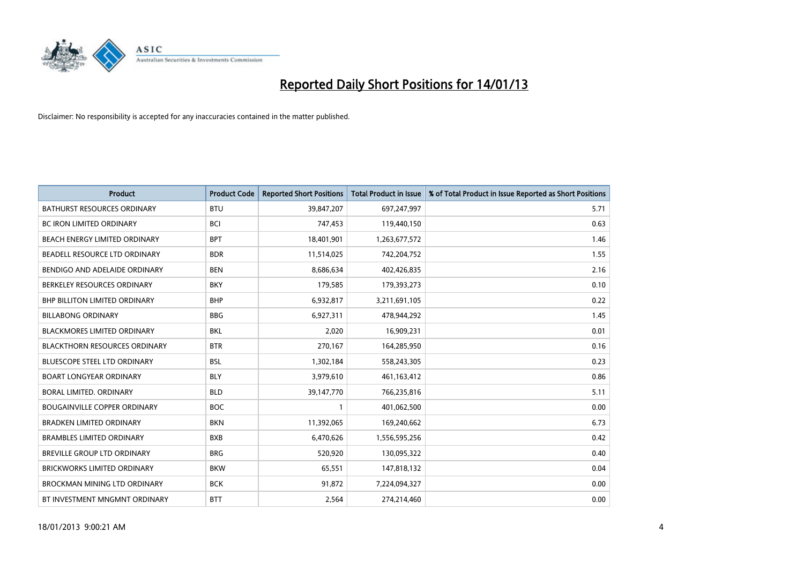

| <b>Product</b>                       | <b>Product Code</b> | <b>Reported Short Positions</b> | <b>Total Product in Issue</b> | % of Total Product in Issue Reported as Short Positions |
|--------------------------------------|---------------------|---------------------------------|-------------------------------|---------------------------------------------------------|
| <b>BATHURST RESOURCES ORDINARY</b>   | <b>BTU</b>          | 39,847,207                      | 697,247,997                   | 5.71                                                    |
| BC IRON LIMITED ORDINARY             | <b>BCI</b>          | 747,453                         | 119,440,150                   | 0.63                                                    |
| BEACH ENERGY LIMITED ORDINARY        | <b>BPT</b>          | 18,401,901                      | 1,263,677,572                 | 1.46                                                    |
| BEADELL RESOURCE LTD ORDINARY        | <b>BDR</b>          | 11,514,025                      | 742,204,752                   | 1.55                                                    |
| BENDIGO AND ADELAIDE ORDINARY        | <b>BEN</b>          | 8,686,634                       | 402,426,835                   | 2.16                                                    |
| BERKELEY RESOURCES ORDINARY          | <b>BKY</b>          | 179,585                         | 179,393,273                   | 0.10                                                    |
| <b>BHP BILLITON LIMITED ORDINARY</b> | <b>BHP</b>          | 6,932,817                       | 3,211,691,105                 | 0.22                                                    |
| <b>BILLABONG ORDINARY</b>            | <b>BBG</b>          | 6,927,311                       | 478,944,292                   | 1.45                                                    |
| BLACKMORES LIMITED ORDINARY          | <b>BKL</b>          | 2,020                           | 16,909,231                    | 0.01                                                    |
| <b>BLACKTHORN RESOURCES ORDINARY</b> | <b>BTR</b>          | 270,167                         | 164,285,950                   | 0.16                                                    |
| <b>BLUESCOPE STEEL LTD ORDINARY</b>  | <b>BSL</b>          | 1,302,184                       | 558,243,305                   | 0.23                                                    |
| <b>BOART LONGYEAR ORDINARY</b>       | <b>BLY</b>          | 3,979,610                       | 461,163,412                   | 0.86                                                    |
| <b>BORAL LIMITED, ORDINARY</b>       | <b>BLD</b>          | 39,147,770                      | 766,235,816                   | 5.11                                                    |
| <b>BOUGAINVILLE COPPER ORDINARY</b>  | <b>BOC</b>          |                                 | 401,062,500                   | 0.00                                                    |
| <b>BRADKEN LIMITED ORDINARY</b>      | <b>BKN</b>          | 11,392,065                      | 169,240,662                   | 6.73                                                    |
| <b>BRAMBLES LIMITED ORDINARY</b>     | <b>BXB</b>          | 6,470,626                       | 1,556,595,256                 | 0.42                                                    |
| <b>BREVILLE GROUP LTD ORDINARY</b>   | <b>BRG</b>          | 520,920                         | 130,095,322                   | 0.40                                                    |
| <b>BRICKWORKS LIMITED ORDINARY</b>   | <b>BKW</b>          | 65,551                          | 147,818,132                   | 0.04                                                    |
| <b>BROCKMAN MINING LTD ORDINARY</b>  | <b>BCK</b>          | 91,872                          | 7,224,094,327                 | 0.00                                                    |
| BT INVESTMENT MNGMNT ORDINARY        | <b>BTT</b>          | 2,564                           | 274,214,460                   | 0.00                                                    |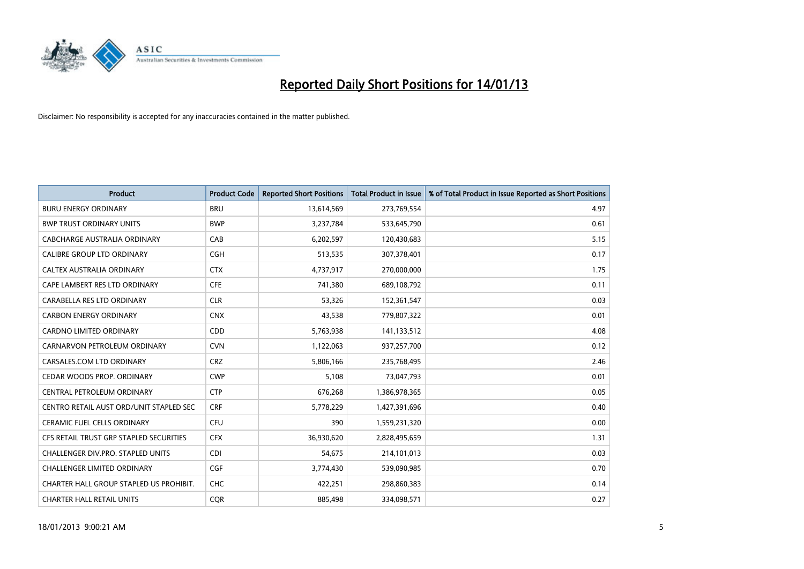

| <b>Product</b>                          | <b>Product Code</b> | <b>Reported Short Positions</b> | Total Product in Issue | % of Total Product in Issue Reported as Short Positions |
|-----------------------------------------|---------------------|---------------------------------|------------------------|---------------------------------------------------------|
| <b>BURU ENERGY ORDINARY</b>             | <b>BRU</b>          | 13,614,569                      | 273,769,554            | 4.97                                                    |
| <b>BWP TRUST ORDINARY UNITS</b>         | <b>BWP</b>          | 3,237,784                       | 533,645,790            | 0.61                                                    |
| CABCHARGE AUSTRALIA ORDINARY            | CAB                 | 6,202,597                       | 120,430,683            | 5.15                                                    |
| CALIBRE GROUP LTD ORDINARY              | <b>CGH</b>          | 513,535                         | 307,378,401            | 0.17                                                    |
| CALTEX AUSTRALIA ORDINARY               | <b>CTX</b>          | 4,737,917                       | 270,000,000            | 1.75                                                    |
| CAPE LAMBERT RES LTD ORDINARY           | <b>CFE</b>          | 741,380                         | 689,108,792            | 0.11                                                    |
| CARABELLA RES LTD ORDINARY              | <b>CLR</b>          | 53,326                          | 152,361,547            | 0.03                                                    |
| <b>CARBON ENERGY ORDINARY</b>           | <b>CNX</b>          | 43,538                          | 779,807,322            | 0.01                                                    |
| CARDNO LIMITED ORDINARY                 | <b>CDD</b>          | 5,763,938                       | 141,133,512            | 4.08                                                    |
| CARNARVON PETROLEUM ORDINARY            | <b>CVN</b>          | 1,122,063                       | 937,257,700            | 0.12                                                    |
| CARSALES.COM LTD ORDINARY               | <b>CRZ</b>          | 5,806,166                       | 235,768,495            | 2.46                                                    |
| CEDAR WOODS PROP. ORDINARY              | <b>CWP</b>          | 5,108                           | 73,047,793             | 0.01                                                    |
| CENTRAL PETROLEUM ORDINARY              | <b>CTP</b>          | 676,268                         | 1,386,978,365          | 0.05                                                    |
| CENTRO RETAIL AUST ORD/UNIT STAPLED SEC | <b>CRF</b>          | 5,778,229                       | 1,427,391,696          | 0.40                                                    |
| <b>CERAMIC FUEL CELLS ORDINARY</b>      | <b>CFU</b>          | 390                             | 1,559,231,320          | 0.00                                                    |
| CFS RETAIL TRUST GRP STAPLED SECURITIES | <b>CFX</b>          | 36,930,620                      | 2,828,495,659          | 1.31                                                    |
| CHALLENGER DIV.PRO. STAPLED UNITS       | <b>CDI</b>          | 54,675                          | 214,101,013            | 0.03                                                    |
| <b>CHALLENGER LIMITED ORDINARY</b>      | <b>CGF</b>          | 3,774,430                       | 539,090,985            | 0.70                                                    |
| CHARTER HALL GROUP STAPLED US PROHIBIT. | <b>CHC</b>          | 422,251                         | 298,860,383            | 0.14                                                    |
| <b>CHARTER HALL RETAIL UNITS</b>        | <b>COR</b>          | 885.498                         | 334.098.571            | 0.27                                                    |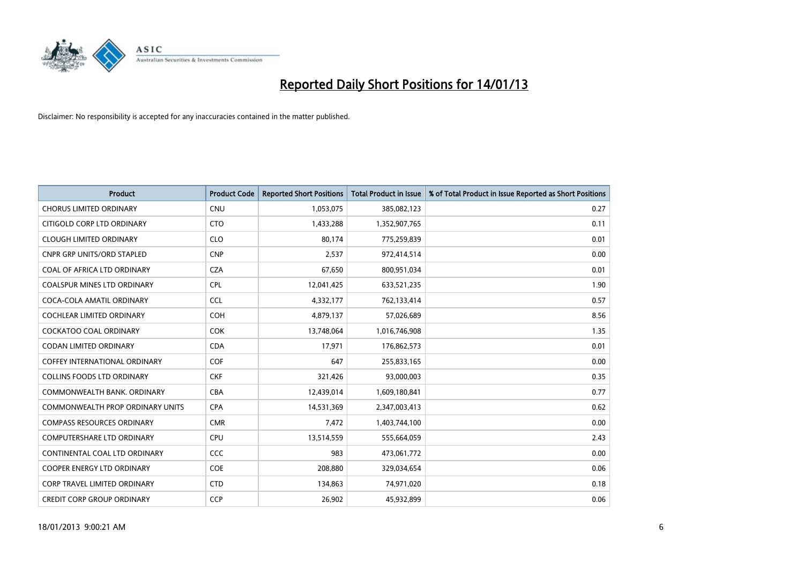

| <b>Product</b>                          | <b>Product Code</b> | <b>Reported Short Positions</b> | <b>Total Product in Issue</b> | % of Total Product in Issue Reported as Short Positions |
|-----------------------------------------|---------------------|---------------------------------|-------------------------------|---------------------------------------------------------|
| <b>CHORUS LIMITED ORDINARY</b>          | <b>CNU</b>          | 1,053,075                       | 385,082,123                   | 0.27                                                    |
| CITIGOLD CORP LTD ORDINARY              | <b>CTO</b>          | 1,433,288                       | 1,352,907,765                 | 0.11                                                    |
| <b>CLOUGH LIMITED ORDINARY</b>          | <b>CLO</b>          | 80.174                          | 775,259,839                   | 0.01                                                    |
| <b>CNPR GRP UNITS/ORD STAPLED</b>       | <b>CNP</b>          | 2,537                           | 972,414,514                   | 0.00                                                    |
| COAL OF AFRICA LTD ORDINARY             | <b>CZA</b>          | 67,650                          | 800,951,034                   | 0.01                                                    |
| <b>COALSPUR MINES LTD ORDINARY</b>      | <b>CPL</b>          | 12,041,425                      | 633,521,235                   | 1.90                                                    |
| COCA-COLA AMATIL ORDINARY               | <b>CCL</b>          | 4,332,177                       | 762,133,414                   | 0.57                                                    |
| <b>COCHLEAR LIMITED ORDINARY</b>        | <b>COH</b>          | 4,879,137                       | 57,026,689                    | 8.56                                                    |
| <b>COCKATOO COAL ORDINARY</b>           | <b>COK</b>          | 13,748,064                      | 1,016,746,908                 | 1.35                                                    |
| <b>CODAN LIMITED ORDINARY</b>           | <b>CDA</b>          | 17,971                          | 176,862,573                   | 0.01                                                    |
| <b>COFFEY INTERNATIONAL ORDINARY</b>    | <b>COF</b>          | 647                             | 255,833,165                   | 0.00                                                    |
| <b>COLLINS FOODS LTD ORDINARY</b>       | <b>CKF</b>          | 321,426                         | 93,000,003                    | 0.35                                                    |
| COMMONWEALTH BANK, ORDINARY             | <b>CBA</b>          | 12,439,014                      | 1,609,180,841                 | 0.77                                                    |
| <b>COMMONWEALTH PROP ORDINARY UNITS</b> | <b>CPA</b>          | 14,531,369                      | 2,347,003,413                 | 0.62                                                    |
| <b>COMPASS RESOURCES ORDINARY</b>       | <b>CMR</b>          | 7,472                           | 1,403,744,100                 | 0.00                                                    |
| COMPUTERSHARE LTD ORDINARY              | <b>CPU</b>          | 13,514,559                      | 555,664,059                   | 2.43                                                    |
| CONTINENTAL COAL LTD ORDINARY           | CCC                 | 983                             | 473,061,772                   | 0.00                                                    |
| COOPER ENERGY LTD ORDINARY              | <b>COE</b>          | 208,880                         | 329,034,654                   | 0.06                                                    |
| <b>CORP TRAVEL LIMITED ORDINARY</b>     | <b>CTD</b>          | 134,863                         | 74,971,020                    | 0.18                                                    |
| <b>CREDIT CORP GROUP ORDINARY</b>       | <b>CCP</b>          | 26,902                          | 45,932,899                    | 0.06                                                    |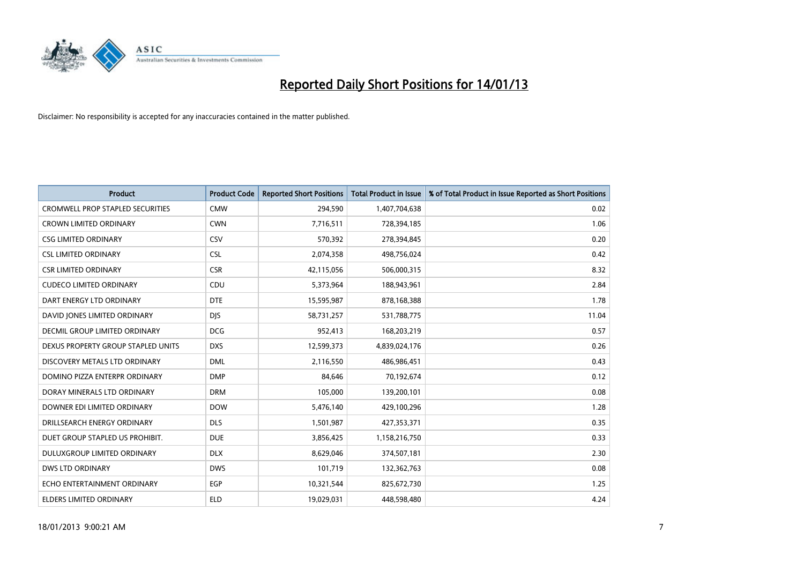

| <b>Product</b>                          | <b>Product Code</b> | <b>Reported Short Positions</b> | <b>Total Product in Issue</b> | % of Total Product in Issue Reported as Short Positions |
|-----------------------------------------|---------------------|---------------------------------|-------------------------------|---------------------------------------------------------|
| <b>CROMWELL PROP STAPLED SECURITIES</b> | <b>CMW</b>          | 294,590                         | 1,407,704,638                 | 0.02                                                    |
| <b>CROWN LIMITED ORDINARY</b>           | <b>CWN</b>          | 7,716,511                       | 728,394,185                   | 1.06                                                    |
| <b>CSG LIMITED ORDINARY</b>             | CSV                 | 570,392                         | 278,394,845                   | 0.20                                                    |
| <b>CSL LIMITED ORDINARY</b>             | <b>CSL</b>          | 2,074,358                       | 498,756,024                   | 0.42                                                    |
| <b>CSR LIMITED ORDINARY</b>             | <b>CSR</b>          | 42,115,056                      | 506,000,315                   | 8.32                                                    |
| <b>CUDECO LIMITED ORDINARY</b>          | CDU                 | 5,373,964                       | 188,943,961                   | 2.84                                                    |
| DART ENERGY LTD ORDINARY                | <b>DTE</b>          | 15,595,987                      | 878,168,388                   | 1.78                                                    |
| DAVID JONES LIMITED ORDINARY            | <b>DIS</b>          | 58,731,257                      | 531,788,775                   | 11.04                                                   |
| <b>DECMIL GROUP LIMITED ORDINARY</b>    | <b>DCG</b>          | 952,413                         | 168,203,219                   | 0.57                                                    |
| DEXUS PROPERTY GROUP STAPLED UNITS      | <b>DXS</b>          | 12,599,373                      | 4,839,024,176                 | 0.26                                                    |
| DISCOVERY METALS LTD ORDINARY           | <b>DML</b>          | 2,116,550                       | 486,986,451                   | 0.43                                                    |
| DOMINO PIZZA ENTERPR ORDINARY           | <b>DMP</b>          | 84,646                          | 70,192,674                    | 0.12                                                    |
| DORAY MINERALS LTD ORDINARY             | <b>DRM</b>          | 105,000                         | 139,200,101                   | 0.08                                                    |
| DOWNER EDI LIMITED ORDINARY             | <b>DOW</b>          | 5,476,140                       | 429,100,296                   | 1.28                                                    |
| DRILLSEARCH ENERGY ORDINARY             | <b>DLS</b>          | 1,501,987                       | 427,353,371                   | 0.35                                                    |
| DUET GROUP STAPLED US PROHIBIT.         | <b>DUE</b>          | 3,856,425                       | 1,158,216,750                 | 0.33                                                    |
| DULUXGROUP LIMITED ORDINARY             | <b>DLX</b>          | 8,629,046                       | 374,507,181                   | 2.30                                                    |
| <b>DWS LTD ORDINARY</b>                 | <b>DWS</b>          | 101,719                         | 132,362,763                   | 0.08                                                    |
| ECHO ENTERTAINMENT ORDINARY             | <b>EGP</b>          | 10,321,544                      | 825,672,730                   | 1.25                                                    |
| ELDERS LIMITED ORDINARY                 | <b>ELD</b>          | 19,029,031                      | 448,598,480                   | 4.24                                                    |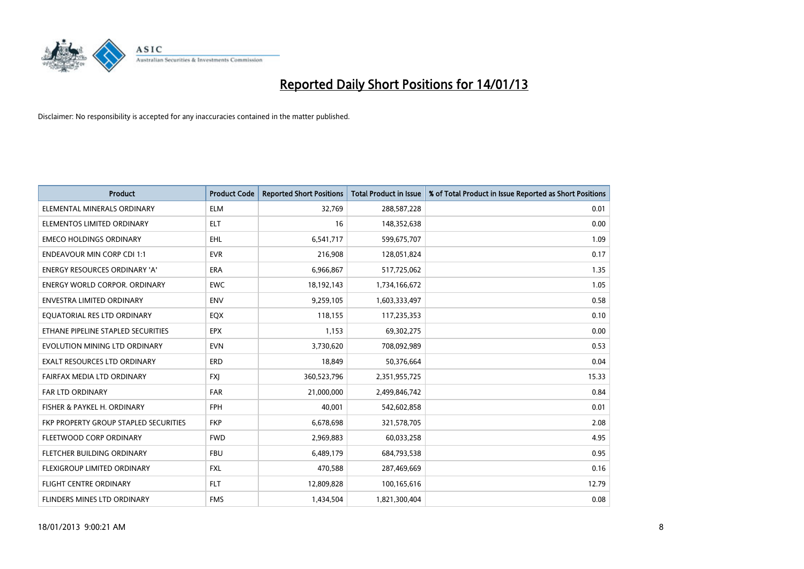

| <b>Product</b>                        | <b>Product Code</b> | <b>Reported Short Positions</b> | <b>Total Product in Issue</b> | % of Total Product in Issue Reported as Short Positions |
|---------------------------------------|---------------------|---------------------------------|-------------------------------|---------------------------------------------------------|
| ELEMENTAL MINERALS ORDINARY           | <b>ELM</b>          | 32,769                          | 288,587,228                   | 0.01                                                    |
| ELEMENTOS LIMITED ORDINARY            | <b>ELT</b>          | 16                              | 148,352,638                   | 0.00                                                    |
| <b>EMECO HOLDINGS ORDINARY</b>        | <b>EHL</b>          | 6,541,717                       | 599,675,707                   | 1.09                                                    |
| <b>ENDEAVOUR MIN CORP CDI 1:1</b>     | <b>EVR</b>          | 216,908                         | 128,051,824                   | 0.17                                                    |
| <b>ENERGY RESOURCES ORDINARY 'A'</b>  | <b>ERA</b>          | 6,966,867                       | 517,725,062                   | 1.35                                                    |
| <b>ENERGY WORLD CORPOR, ORDINARY</b>  | <b>EWC</b>          | 18,192,143                      | 1,734,166,672                 | 1.05                                                    |
| ENVESTRA LIMITED ORDINARY             | <b>ENV</b>          | 9,259,105                       | 1,603,333,497                 | 0.58                                                    |
| EQUATORIAL RES LTD ORDINARY           | <b>EQX</b>          | 118,155                         | 117,235,353                   | 0.10                                                    |
| ETHANE PIPELINE STAPLED SECURITIES    | <b>EPX</b>          | 1,153                           | 69,302,275                    | 0.00                                                    |
| EVOLUTION MINING LTD ORDINARY         | <b>EVN</b>          | 3,730,620                       | 708,092,989                   | 0.53                                                    |
| EXALT RESOURCES LTD ORDINARY          | <b>ERD</b>          | 18,849                          | 50,376,664                    | 0.04                                                    |
| FAIRFAX MEDIA LTD ORDINARY            | <b>FXJ</b>          | 360,523,796                     | 2,351,955,725                 | 15.33                                                   |
| FAR LTD ORDINARY                      | <b>FAR</b>          | 21,000,000                      | 2,499,846,742                 | 0.84                                                    |
| FISHER & PAYKEL H. ORDINARY           | <b>FPH</b>          | 40,001                          | 542,602,858                   | 0.01                                                    |
| FKP PROPERTY GROUP STAPLED SECURITIES | <b>FKP</b>          | 6,678,698                       | 321,578,705                   | 2.08                                                    |
| FLEETWOOD CORP ORDINARY               | <b>FWD</b>          | 2,969,883                       | 60,033,258                    | 4.95                                                    |
| FLETCHER BUILDING ORDINARY            | <b>FBU</b>          | 6,489,179                       | 684,793,538                   | 0.95                                                    |
| FLEXIGROUP LIMITED ORDINARY           | <b>FXL</b>          | 470,588                         | 287,469,669                   | 0.16                                                    |
| FLIGHT CENTRE ORDINARY                | <b>FLT</b>          | 12,809,828                      | 100,165,616                   | 12.79                                                   |
| FLINDERS MINES LTD ORDINARY           | <b>FMS</b>          | 1,434,504                       | 1,821,300,404                 | 0.08                                                    |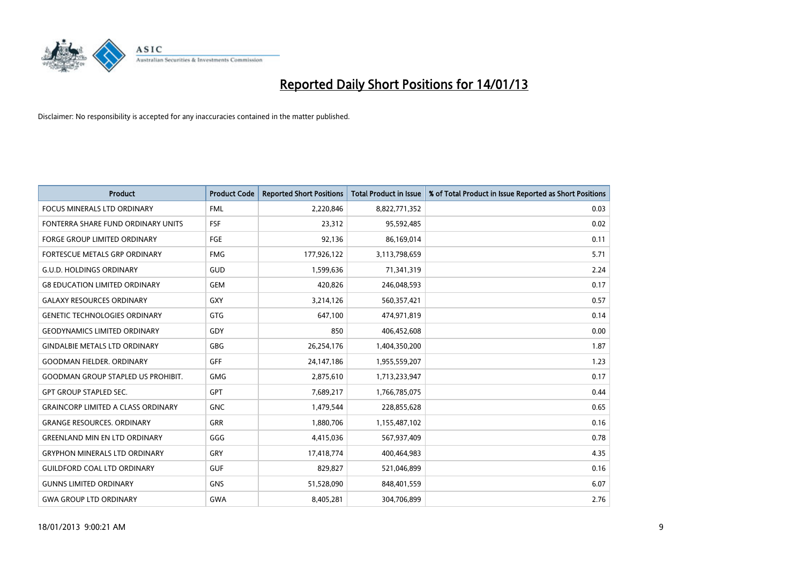

| <b>Product</b>                            | <b>Product Code</b> | <b>Reported Short Positions</b> | <b>Total Product in Issue</b> | % of Total Product in Issue Reported as Short Positions |
|-------------------------------------------|---------------------|---------------------------------|-------------------------------|---------------------------------------------------------|
| <b>FOCUS MINERALS LTD ORDINARY</b>        | <b>FML</b>          | 2,220,846                       | 8,822,771,352                 | 0.03                                                    |
| FONTERRA SHARE FUND ORDINARY UNITS        | FSF                 | 23,312                          | 95,592,485                    | 0.02                                                    |
| <b>FORGE GROUP LIMITED ORDINARY</b>       | FGE                 | 92,136                          | 86,169,014                    | 0.11                                                    |
| FORTESCUE METALS GRP ORDINARY             | <b>FMG</b>          | 177,926,122                     | 3,113,798,659                 | 5.71                                                    |
| <b>G.U.D. HOLDINGS ORDINARY</b>           | GUD                 | 1,599,636                       | 71,341,319                    | 2.24                                                    |
| <b>G8 EDUCATION LIMITED ORDINARY</b>      | <b>GEM</b>          | 420.826                         | 246,048,593                   | 0.17                                                    |
| <b>GALAXY RESOURCES ORDINARY</b>          | <b>GXY</b>          | 3,214,126                       | 560,357,421                   | 0.57                                                    |
| <b>GENETIC TECHNOLOGIES ORDINARY</b>      | <b>GTG</b>          | 647,100                         | 474,971,819                   | 0.14                                                    |
| <b>GEODYNAMICS LIMITED ORDINARY</b>       | GDY                 | 850                             | 406,452,608                   | 0.00                                                    |
| <b>GINDALBIE METALS LTD ORDINARY</b>      | <b>GBG</b>          | 26,254,176                      | 1,404,350,200                 | 1.87                                                    |
| <b>GOODMAN FIELDER. ORDINARY</b>          | <b>GFF</b>          | 24,147,186                      | 1,955,559,207                 | 1.23                                                    |
| <b>GOODMAN GROUP STAPLED US PROHIBIT.</b> | <b>GMG</b>          | 2,875,610                       | 1,713,233,947                 | 0.17                                                    |
| <b>GPT GROUP STAPLED SEC.</b>             | <b>GPT</b>          | 7,689,217                       | 1,766,785,075                 | 0.44                                                    |
| <b>GRAINCORP LIMITED A CLASS ORDINARY</b> | <b>GNC</b>          | 1,479,544                       | 228,855,628                   | 0.65                                                    |
| <b>GRANGE RESOURCES, ORDINARY</b>         | <b>GRR</b>          | 1,880,706                       | 1,155,487,102                 | 0.16                                                    |
| <b>GREENLAND MIN EN LTD ORDINARY</b>      | GGG                 | 4,415,036                       | 567,937,409                   | 0.78                                                    |
| <b>GRYPHON MINERALS LTD ORDINARY</b>      | GRY                 | 17,418,774                      | 400,464,983                   | 4.35                                                    |
| <b>GUILDFORD COAL LTD ORDINARY</b>        | <b>GUF</b>          | 829,827                         | 521,046,899                   | 0.16                                                    |
| <b>GUNNS LIMITED ORDINARY</b>             | <b>GNS</b>          | 51,528,090                      | 848,401,559                   | 6.07                                                    |
| <b>GWA GROUP LTD ORDINARY</b>             | <b>GWA</b>          | 8,405,281                       | 304,706,899                   | 2.76                                                    |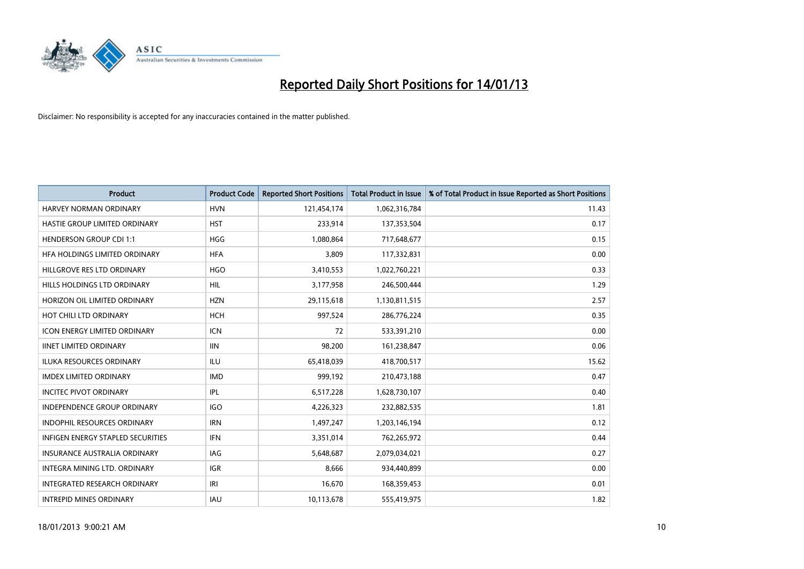

| <b>Product</b>                      | <b>Product Code</b> | <b>Reported Short Positions</b> | <b>Total Product in Issue</b> | % of Total Product in Issue Reported as Short Positions |
|-------------------------------------|---------------------|---------------------------------|-------------------------------|---------------------------------------------------------|
| HARVEY NORMAN ORDINARY              | <b>HVN</b>          | 121,454,174                     | 1,062,316,784                 | 11.43                                                   |
| HASTIE GROUP LIMITED ORDINARY       | <b>HST</b>          | 233,914                         | 137,353,504                   | 0.17                                                    |
| <b>HENDERSON GROUP CDI 1:1</b>      | <b>HGG</b>          | 1,080,864                       | 717,648,677                   | 0.15                                                    |
| HFA HOLDINGS LIMITED ORDINARY       | <b>HFA</b>          | 3,809                           | 117,332,831                   | 0.00                                                    |
| HILLGROVE RES LTD ORDINARY          | <b>HGO</b>          | 3,410,553                       | 1,022,760,221                 | 0.33                                                    |
| HILLS HOLDINGS LTD ORDINARY         | <b>HIL</b>          | 3,177,958                       | 246,500,444                   | 1.29                                                    |
| HORIZON OIL LIMITED ORDINARY        | <b>HZN</b>          | 29,115,618                      | 1,130,811,515                 | 2.57                                                    |
| HOT CHILI LTD ORDINARY              | <b>HCH</b>          | 997,524                         | 286,776,224                   | 0.35                                                    |
| <b>ICON ENERGY LIMITED ORDINARY</b> | <b>ICN</b>          | 72                              | 533,391,210                   | 0.00                                                    |
| <b>IINET LIMITED ORDINARY</b>       | <b>IIN</b>          | 98,200                          | 161,238,847                   | 0.06                                                    |
| ILUKA RESOURCES ORDINARY            | ILU                 | 65,418,039                      | 418,700,517                   | 15.62                                                   |
| <b>IMDEX LIMITED ORDINARY</b>       | <b>IMD</b>          | 999,192                         | 210,473,188                   | 0.47                                                    |
| <b>INCITEC PIVOT ORDINARY</b>       | IPL                 | 6,517,228                       | 1,628,730,107                 | 0.40                                                    |
| <b>INDEPENDENCE GROUP ORDINARY</b>  | <b>IGO</b>          | 4,226,323                       | 232,882,535                   | 1.81                                                    |
| <b>INDOPHIL RESOURCES ORDINARY</b>  | <b>IRN</b>          | 1,497,247                       | 1,203,146,194                 | 0.12                                                    |
| INFIGEN ENERGY STAPLED SECURITIES   | <b>IFN</b>          | 3,351,014                       | 762,265,972                   | 0.44                                                    |
| <b>INSURANCE AUSTRALIA ORDINARY</b> | IAG                 | 5,648,687                       | 2,079,034,021                 | 0.27                                                    |
| INTEGRA MINING LTD. ORDINARY        | <b>IGR</b>          | 8,666                           | 934,440,899                   | 0.00                                                    |
| <b>INTEGRATED RESEARCH ORDINARY</b> | IRI                 | 16,670                          | 168,359,453                   | 0.01                                                    |
| <b>INTREPID MINES ORDINARY</b>      | <b>IAU</b>          | 10,113,678                      | 555,419,975                   | 1.82                                                    |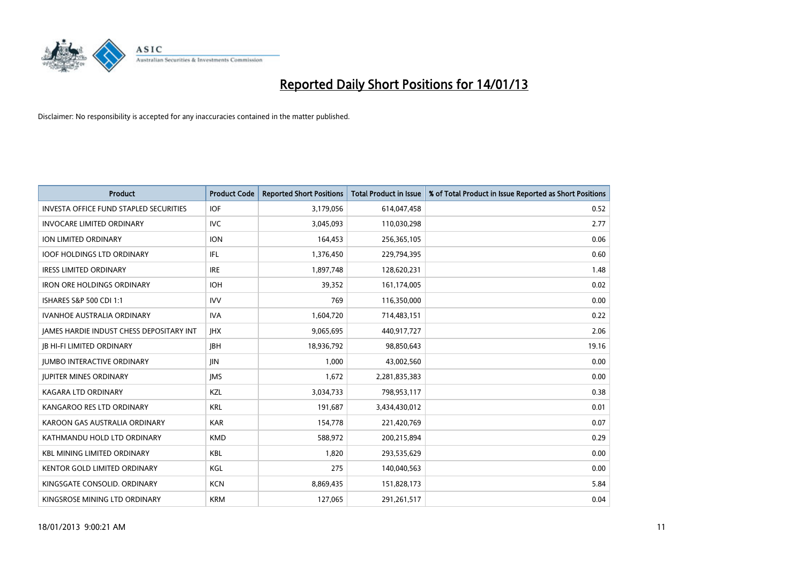

| <b>Product</b>                                  | <b>Product Code</b> | <b>Reported Short Positions</b> | <b>Total Product in Issue</b> | % of Total Product in Issue Reported as Short Positions |
|-------------------------------------------------|---------------------|---------------------------------|-------------------------------|---------------------------------------------------------|
| <b>INVESTA OFFICE FUND STAPLED SECURITIES</b>   | <b>IOF</b>          | 3,179,056                       | 614,047,458                   | 0.52                                                    |
| <b>INVOCARE LIMITED ORDINARY</b>                | IVC                 | 3,045,093                       | 110,030,298                   | 2.77                                                    |
| <b>ION LIMITED ORDINARY</b>                     | <b>ION</b>          | 164,453                         | 256,365,105                   | 0.06                                                    |
| <b>IOOF HOLDINGS LTD ORDINARY</b>               | <b>IFL</b>          | 1,376,450                       | 229,794,395                   | 0.60                                                    |
| <b>IRESS LIMITED ORDINARY</b>                   | <b>IRE</b>          | 1,897,748                       | 128,620,231                   | 1.48                                                    |
| <b>IRON ORE HOLDINGS ORDINARY</b>               | <b>IOH</b>          | 39,352                          | 161,174,005                   | 0.02                                                    |
| ISHARES S&P 500 CDI 1:1                         | <b>IVV</b>          | 769                             | 116,350,000                   | 0.00                                                    |
| <b>IVANHOE AUSTRALIA ORDINARY</b>               | <b>IVA</b>          | 1,604,720                       | 714,483,151                   | 0.22                                                    |
| <b>JAMES HARDIE INDUST CHESS DEPOSITARY INT</b> | <b>IHX</b>          | 9,065,695                       | 440,917,727                   | 2.06                                                    |
| <b>IB HI-FI LIMITED ORDINARY</b>                | <b>IBH</b>          | 18,936,792                      | 98,850,643                    | 19.16                                                   |
| <b>JUMBO INTERACTIVE ORDINARY</b>               | <b>JIN</b>          | 1,000                           | 43,002,560                    | 0.00                                                    |
| <b>JUPITER MINES ORDINARY</b>                   | <b>IMS</b>          | 1,672                           | 2,281,835,383                 | 0.00                                                    |
| KAGARA LTD ORDINARY                             | KZL                 | 3,034,733                       | 798,953,117                   | 0.38                                                    |
| KANGAROO RES LTD ORDINARY                       | <b>KRL</b>          | 191,687                         | 3,434,430,012                 | 0.01                                                    |
| KAROON GAS AUSTRALIA ORDINARY                   | <b>KAR</b>          | 154,778                         | 221,420,769                   | 0.07                                                    |
| KATHMANDU HOLD LTD ORDINARY                     | <b>KMD</b>          | 588,972                         | 200,215,894                   | 0.29                                                    |
| <b>KBL MINING LIMITED ORDINARY</b>              | <b>KBL</b>          | 1,820                           | 293,535,629                   | 0.00                                                    |
| KENTOR GOLD LIMITED ORDINARY                    | KGL                 | 275                             | 140,040,563                   | 0.00                                                    |
| KINGSGATE CONSOLID. ORDINARY                    | <b>KCN</b>          | 8,869,435                       | 151,828,173                   | 5.84                                                    |
| KINGSROSE MINING LTD ORDINARY                   | <b>KRM</b>          | 127,065                         | 291,261,517                   | 0.04                                                    |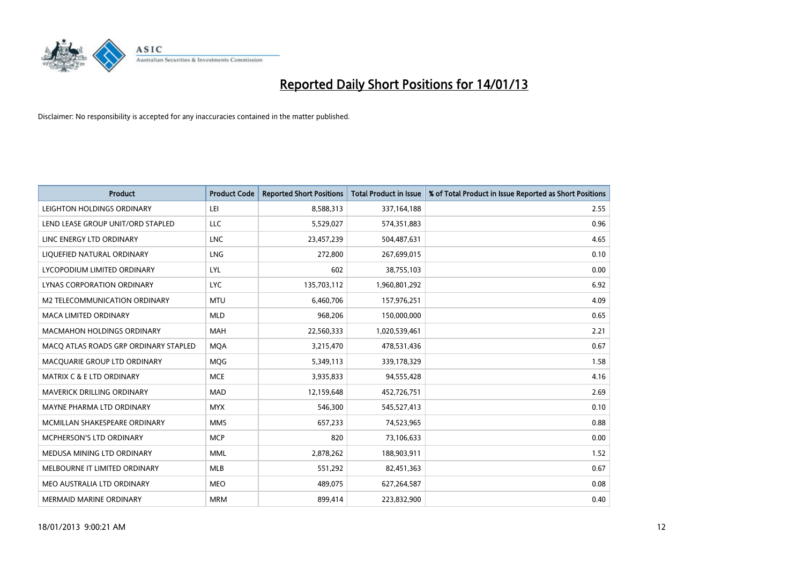

| <b>Product</b>                        | <b>Product Code</b> | <b>Reported Short Positions</b> | <b>Total Product in Issue</b> | % of Total Product in Issue Reported as Short Positions |
|---------------------------------------|---------------------|---------------------------------|-------------------------------|---------------------------------------------------------|
| LEIGHTON HOLDINGS ORDINARY            | LEI                 | 8,588,313                       | 337, 164, 188                 | 2.55                                                    |
| LEND LEASE GROUP UNIT/ORD STAPLED     | LLC                 | 5,529,027                       | 574,351,883                   | 0.96                                                    |
| LINC ENERGY LTD ORDINARY              | <b>LNC</b>          | 23,457,239                      | 504,487,631                   | 4.65                                                    |
| LIQUEFIED NATURAL ORDINARY            | <b>LNG</b>          | 272,800                         | 267,699,015                   | 0.10                                                    |
| LYCOPODIUM LIMITED ORDINARY           | LYL                 | 602                             | 38,755,103                    | 0.00                                                    |
| LYNAS CORPORATION ORDINARY            | <b>LYC</b>          | 135,703,112                     | 1,960,801,292                 | 6.92                                                    |
| M2 TELECOMMUNICATION ORDINARY         | <b>MTU</b>          | 6,460,706                       | 157,976,251                   | 4.09                                                    |
| MACA LIMITED ORDINARY                 | <b>MLD</b>          | 968,206                         | 150,000,000                   | 0.65                                                    |
| <b>MACMAHON HOLDINGS ORDINARY</b>     | <b>MAH</b>          | 22,560,333                      | 1,020,539,461                 | 2.21                                                    |
| MACO ATLAS ROADS GRP ORDINARY STAPLED | <b>MOA</b>          | 3,215,470                       | 478,531,436                   | 0.67                                                    |
| MACQUARIE GROUP LTD ORDINARY          | <b>MOG</b>          | 5,349,113                       | 339,178,329                   | 1.58                                                    |
| <b>MATRIX C &amp; E LTD ORDINARY</b>  | <b>MCE</b>          | 3,935,833                       | 94,555,428                    | 4.16                                                    |
| MAVERICK DRILLING ORDINARY            | <b>MAD</b>          | 12,159,648                      | 452,726,751                   | 2.69                                                    |
| MAYNE PHARMA LTD ORDINARY             | <b>MYX</b>          | 546,300                         | 545,527,413                   | 0.10                                                    |
| MCMILLAN SHAKESPEARE ORDINARY         | <b>MMS</b>          | 657,233                         | 74,523,965                    | 0.88                                                    |
| MCPHERSON'S LTD ORDINARY              | <b>MCP</b>          | 820                             | 73,106,633                    | 0.00                                                    |
| MEDUSA MINING LTD ORDINARY            | <b>MML</b>          | 2,878,262                       | 188,903,911                   | 1.52                                                    |
| MELBOURNE IT LIMITED ORDINARY         | <b>MLB</b>          | 551,292                         | 82,451,363                    | 0.67                                                    |
| MEO AUSTRALIA LTD ORDINARY            | <b>MEO</b>          | 489,075                         | 627,264,587                   | 0.08                                                    |
| MERMAID MARINE ORDINARY               | <b>MRM</b>          | 899,414                         | 223,832,900                   | 0.40                                                    |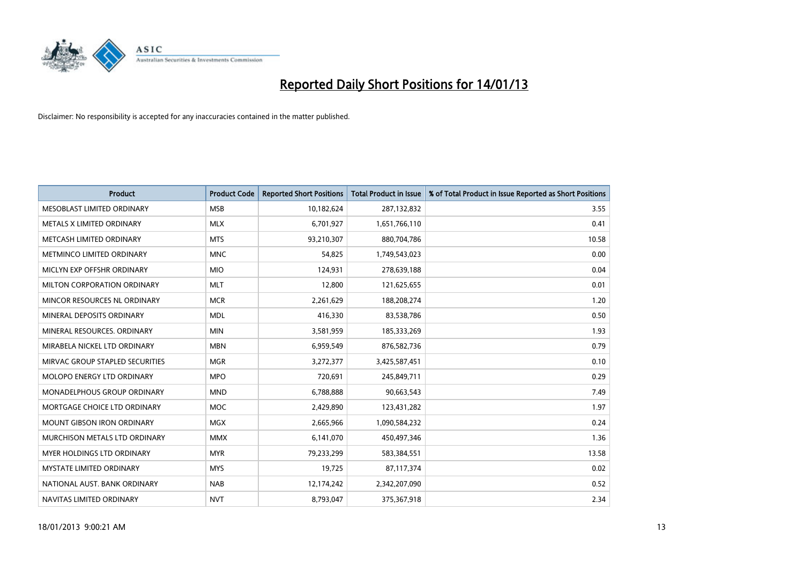

| <b>Product</b>                    | <b>Product Code</b> | <b>Reported Short Positions</b> | <b>Total Product in Issue</b> | % of Total Product in Issue Reported as Short Positions |
|-----------------------------------|---------------------|---------------------------------|-------------------------------|---------------------------------------------------------|
| MESOBLAST LIMITED ORDINARY        | <b>MSB</b>          | 10,182,624                      | 287,132,832                   | 3.55                                                    |
| METALS X LIMITED ORDINARY         | <b>MLX</b>          | 6,701,927                       | 1,651,766,110                 | 0.41                                                    |
| METCASH LIMITED ORDINARY          | <b>MTS</b>          | 93,210,307                      | 880,704,786                   | 10.58                                                   |
| METMINCO LIMITED ORDINARY         | <b>MNC</b>          | 54,825                          | 1,749,543,023                 | 0.00                                                    |
| MICLYN EXP OFFSHR ORDINARY        | <b>MIO</b>          | 124,931                         | 278,639,188                   | 0.04                                                    |
| MILTON CORPORATION ORDINARY       | <b>MLT</b>          | 12,800                          | 121,625,655                   | 0.01                                                    |
| MINCOR RESOURCES NL ORDINARY      | <b>MCR</b>          | 2,261,629                       | 188,208,274                   | 1.20                                                    |
| MINERAL DEPOSITS ORDINARY         | <b>MDL</b>          | 416,330                         | 83,538,786                    | 0.50                                                    |
| MINERAL RESOURCES, ORDINARY       | <b>MIN</b>          | 3,581,959                       | 185,333,269                   | 1.93                                                    |
| MIRABELA NICKEL LTD ORDINARY      | <b>MBN</b>          | 6,959,549                       | 876,582,736                   | 0.79                                                    |
| MIRVAC GROUP STAPLED SECURITIES   | <b>MGR</b>          | 3,272,377                       | 3,425,587,451                 | 0.10                                                    |
| MOLOPO ENERGY LTD ORDINARY        | <b>MPO</b>          | 720,691                         | 245,849,711                   | 0.29                                                    |
| MONADELPHOUS GROUP ORDINARY       | <b>MND</b>          | 6,788,888                       | 90,663,543                    | 7.49                                                    |
| MORTGAGE CHOICE LTD ORDINARY      | <b>MOC</b>          | 2,429,890                       | 123,431,282                   | 1.97                                                    |
| <b>MOUNT GIBSON IRON ORDINARY</b> | <b>MGX</b>          | 2,665,966                       | 1,090,584,232                 | 0.24                                                    |
| MURCHISON METALS LTD ORDINARY     | <b>MMX</b>          | 6,141,070                       | 450,497,346                   | 1.36                                                    |
| MYER HOLDINGS LTD ORDINARY        | <b>MYR</b>          | 79,233,299                      | 583,384,551                   | 13.58                                                   |
| MYSTATE LIMITED ORDINARY          | <b>MYS</b>          | 19,725                          | 87,117,374                    | 0.02                                                    |
| NATIONAL AUST, BANK ORDINARY      | <b>NAB</b>          | 12,174,242                      | 2,342,207,090                 | 0.52                                                    |
| NAVITAS LIMITED ORDINARY          | <b>NVT</b>          | 8,793,047                       | 375,367,918                   | 2.34                                                    |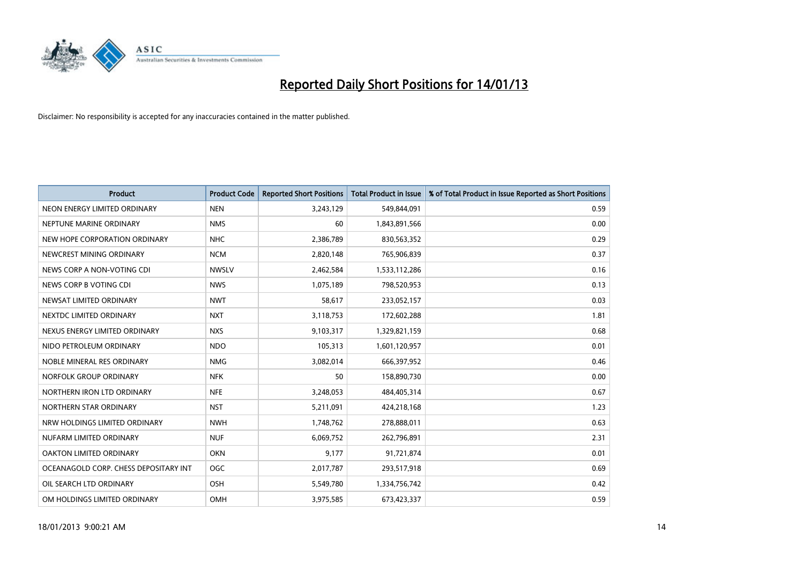

| <b>Product</b>                        | <b>Product Code</b> | <b>Reported Short Positions</b> | <b>Total Product in Issue</b> | % of Total Product in Issue Reported as Short Positions |
|---------------------------------------|---------------------|---------------------------------|-------------------------------|---------------------------------------------------------|
| NEON ENERGY LIMITED ORDINARY          | <b>NEN</b>          | 3,243,129                       | 549,844,091                   | 0.59                                                    |
| NEPTUNE MARINE ORDINARY               | <b>NMS</b>          | 60                              | 1,843,891,566                 | 0.00                                                    |
| NEW HOPE CORPORATION ORDINARY         | <b>NHC</b>          | 2,386,789                       | 830,563,352                   | 0.29                                                    |
| NEWCREST MINING ORDINARY              | <b>NCM</b>          | 2,820,148                       | 765,906,839                   | 0.37                                                    |
| NEWS CORP A NON-VOTING CDI            | <b>NWSLV</b>        | 2,462,584                       | 1,533,112,286                 | 0.16                                                    |
| NEWS CORP B VOTING CDI                | <b>NWS</b>          | 1,075,189                       | 798,520,953                   | 0.13                                                    |
| NEWSAT LIMITED ORDINARY               | <b>NWT</b>          | 58,617                          | 233,052,157                   | 0.03                                                    |
| NEXTDC LIMITED ORDINARY               | <b>NXT</b>          | 3,118,753                       | 172,602,288                   | 1.81                                                    |
| NEXUS ENERGY LIMITED ORDINARY         | <b>NXS</b>          | 9,103,317                       | 1,329,821,159                 | 0.68                                                    |
| NIDO PETROLEUM ORDINARY               | <b>NDO</b>          | 105,313                         | 1,601,120,957                 | 0.01                                                    |
| NOBLE MINERAL RES ORDINARY            | <b>NMG</b>          | 3,082,014                       | 666,397,952                   | 0.46                                                    |
| NORFOLK GROUP ORDINARY                | <b>NFK</b>          | 50                              | 158,890,730                   | 0.00                                                    |
| NORTHERN IRON LTD ORDINARY            | <b>NFE</b>          | 3,248,053                       | 484,405,314                   | 0.67                                                    |
| NORTHERN STAR ORDINARY                | <b>NST</b>          | 5,211,091                       | 424,218,168                   | 1.23                                                    |
| NRW HOLDINGS LIMITED ORDINARY         | <b>NWH</b>          | 1,748,762                       | 278,888,011                   | 0.63                                                    |
| NUFARM LIMITED ORDINARY               | <b>NUF</b>          | 6,069,752                       | 262,796,891                   | 2.31                                                    |
| OAKTON LIMITED ORDINARY               | <b>OKN</b>          | 9,177                           | 91,721,874                    | 0.01                                                    |
| OCEANAGOLD CORP. CHESS DEPOSITARY INT | <b>OGC</b>          | 2,017,787                       | 293,517,918                   | 0.69                                                    |
| OIL SEARCH LTD ORDINARY               | <b>OSH</b>          | 5,549,780                       | 1,334,756,742                 | 0.42                                                    |
| OM HOLDINGS LIMITED ORDINARY          | <b>OMH</b>          | 3,975,585                       | 673,423,337                   | 0.59                                                    |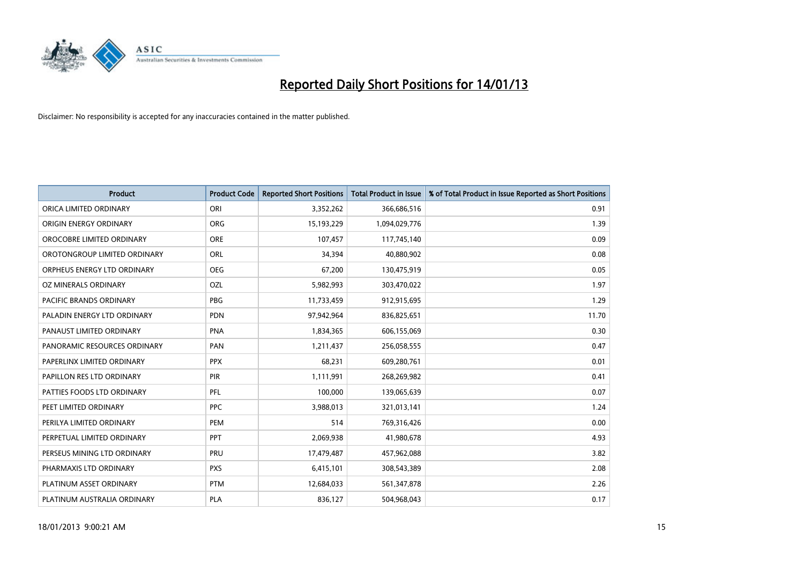

| <b>Product</b>               | <b>Product Code</b> | <b>Reported Short Positions</b> | <b>Total Product in Issue</b> | % of Total Product in Issue Reported as Short Positions |
|------------------------------|---------------------|---------------------------------|-------------------------------|---------------------------------------------------------|
| ORICA LIMITED ORDINARY       | ORI                 | 3,352,262                       | 366,686,516                   | 0.91                                                    |
| ORIGIN ENERGY ORDINARY       | <b>ORG</b>          | 15,193,229                      | 1,094,029,776                 | 1.39                                                    |
| OROCOBRE LIMITED ORDINARY    | <b>ORE</b>          | 107,457                         | 117,745,140                   | 0.09                                                    |
| OROTONGROUP LIMITED ORDINARY | <b>ORL</b>          | 34,394                          | 40,880,902                    | 0.08                                                    |
| ORPHEUS ENERGY LTD ORDINARY  | <b>OEG</b>          | 67,200                          | 130,475,919                   | 0.05                                                    |
| OZ MINERALS ORDINARY         | OZL                 | 5,982,993                       | 303,470,022                   | 1.97                                                    |
| PACIFIC BRANDS ORDINARY      | <b>PBG</b>          | 11,733,459                      | 912,915,695                   | 1.29                                                    |
| PALADIN ENERGY LTD ORDINARY  | <b>PDN</b>          | 97,942,964                      | 836,825,651                   | 11.70                                                   |
| PANAUST LIMITED ORDINARY     | <b>PNA</b>          | 1,834,365                       | 606,155,069                   | 0.30                                                    |
| PANORAMIC RESOURCES ORDINARY | PAN                 | 1,211,437                       | 256,058,555                   | 0.47                                                    |
| PAPERLINX LIMITED ORDINARY   | <b>PPX</b>          | 68,231                          | 609,280,761                   | 0.01                                                    |
| PAPILLON RES LTD ORDINARY    | <b>PIR</b>          | 1,111,991                       | 268,269,982                   | 0.41                                                    |
| PATTIES FOODS LTD ORDINARY   | PFL                 | 100,000                         | 139,065,639                   | 0.07                                                    |
| PEET LIMITED ORDINARY        | <b>PPC</b>          | 3,988,013                       | 321,013,141                   | 1.24                                                    |
| PERILYA LIMITED ORDINARY     | PEM                 | 514                             | 769,316,426                   | 0.00                                                    |
| PERPETUAL LIMITED ORDINARY   | <b>PPT</b>          | 2,069,938                       | 41,980,678                    | 4.93                                                    |
| PERSEUS MINING LTD ORDINARY  | PRU                 | 17,479,487                      | 457,962,088                   | 3.82                                                    |
| PHARMAXIS LTD ORDINARY       | <b>PXS</b>          | 6,415,101                       | 308,543,389                   | 2.08                                                    |
| PLATINUM ASSET ORDINARY      | <b>PTM</b>          | 12,684,033                      | 561,347,878                   | 2.26                                                    |
| PLATINUM AUSTRALIA ORDINARY  | <b>PLA</b>          | 836,127                         | 504,968,043                   | 0.17                                                    |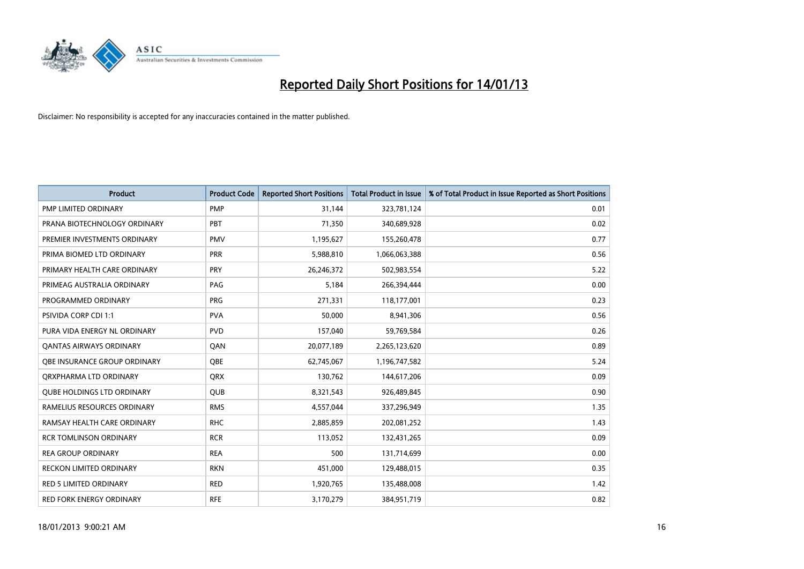

| <b>Product</b>                    | <b>Product Code</b> | <b>Reported Short Positions</b> | <b>Total Product in Issue</b> | % of Total Product in Issue Reported as Short Positions |
|-----------------------------------|---------------------|---------------------------------|-------------------------------|---------------------------------------------------------|
| PMP LIMITED ORDINARY              | <b>PMP</b>          | 31,144                          | 323,781,124                   | 0.01                                                    |
| PRANA BIOTECHNOLOGY ORDINARY      | PBT                 | 71,350                          | 340,689,928                   | 0.02                                                    |
| PREMIER INVESTMENTS ORDINARY      | <b>PMV</b>          | 1,195,627                       | 155,260,478                   | 0.77                                                    |
| PRIMA BIOMED LTD ORDINARY         | <b>PRR</b>          | 5,988,810                       | 1,066,063,388                 | 0.56                                                    |
| PRIMARY HEALTH CARE ORDINARY      | PRY                 | 26,246,372                      | 502,983,554                   | 5.22                                                    |
| PRIMEAG AUSTRALIA ORDINARY        | PAG                 | 5,184                           | 266,394,444                   | 0.00                                                    |
| PROGRAMMED ORDINARY               | <b>PRG</b>          | 271.331                         | 118,177,001                   | 0.23                                                    |
| PSIVIDA CORP CDI 1:1              | <b>PVA</b>          | 50,000                          | 8,941,306                     | 0.56                                                    |
| PURA VIDA ENERGY NL ORDINARY      | <b>PVD</b>          | 157,040                         | 59,769,584                    | 0.26                                                    |
| OANTAS AIRWAYS ORDINARY           | QAN                 | 20,077,189                      | 2,265,123,620                 | 0.89                                                    |
| OBE INSURANCE GROUP ORDINARY      | <b>OBE</b>          | 62,745,067                      | 1,196,747,582                 | 5.24                                                    |
| ORXPHARMA LTD ORDINARY            | <b>QRX</b>          | 130,762                         | 144,617,206                   | 0.09                                                    |
| <b>OUBE HOLDINGS LTD ORDINARY</b> | <b>QUB</b>          | 8,321,543                       | 926,489,845                   | 0.90                                                    |
| RAMELIUS RESOURCES ORDINARY       | <b>RMS</b>          | 4,557,044                       | 337,296,949                   | 1.35                                                    |
| RAMSAY HEALTH CARE ORDINARY       | <b>RHC</b>          | 2,885,859                       | 202,081,252                   | 1.43                                                    |
| <b>RCR TOMLINSON ORDINARY</b>     | <b>RCR</b>          | 113,052                         | 132,431,265                   | 0.09                                                    |
| <b>REA GROUP ORDINARY</b>         | <b>REA</b>          | 500                             | 131,714,699                   | 0.00                                                    |
| <b>RECKON LIMITED ORDINARY</b>    | <b>RKN</b>          | 451,000                         | 129,488,015                   | 0.35                                                    |
| <b>RED 5 LIMITED ORDINARY</b>     | <b>RED</b>          | 1,920,765                       | 135,488,008                   | 1.42                                                    |
| <b>RED FORK ENERGY ORDINARY</b>   | <b>RFE</b>          | 3,170,279                       | 384,951,719                   | 0.82                                                    |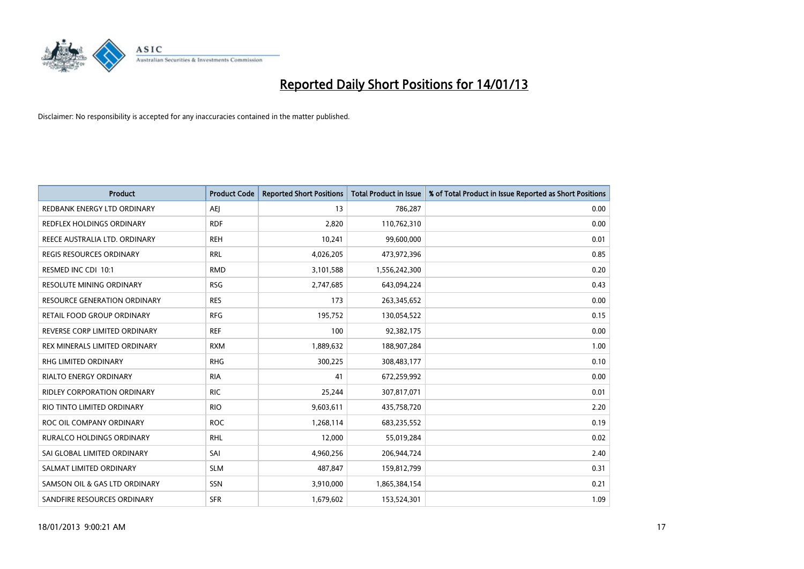

| <b>Product</b>                      | <b>Product Code</b> | <b>Reported Short Positions</b> | <b>Total Product in Issue</b> | % of Total Product in Issue Reported as Short Positions |
|-------------------------------------|---------------------|---------------------------------|-------------------------------|---------------------------------------------------------|
| REDBANK ENERGY LTD ORDINARY         | AEI                 | 13                              | 786,287                       | 0.00                                                    |
| REDFLEX HOLDINGS ORDINARY           | <b>RDF</b>          | 2,820                           | 110,762,310                   | 0.00                                                    |
| REECE AUSTRALIA LTD. ORDINARY       | <b>REH</b>          | 10,241                          | 99,600,000                    | 0.01                                                    |
| REGIS RESOURCES ORDINARY            | <b>RRL</b>          | 4,026,205                       | 473,972,396                   | 0.85                                                    |
| RESMED INC CDI 10:1                 | <b>RMD</b>          | 3,101,588                       | 1,556,242,300                 | 0.20                                                    |
| <b>RESOLUTE MINING ORDINARY</b>     | <b>RSG</b>          | 2,747,685                       | 643,094,224                   | 0.43                                                    |
| <b>RESOURCE GENERATION ORDINARY</b> | <b>RES</b>          | 173                             | 263,345,652                   | 0.00                                                    |
| RETAIL FOOD GROUP ORDINARY          | <b>RFG</b>          | 195,752                         | 130,054,522                   | 0.15                                                    |
| REVERSE CORP LIMITED ORDINARY       | <b>REF</b>          | 100                             | 92,382,175                    | 0.00                                                    |
| REX MINERALS LIMITED ORDINARY       | <b>RXM</b>          | 1,889,632                       | 188,907,284                   | 1.00                                                    |
| <b>RHG LIMITED ORDINARY</b>         | <b>RHG</b>          | 300,225                         | 308,483,177                   | 0.10                                                    |
| <b>RIALTO ENERGY ORDINARY</b>       | <b>RIA</b>          | 41                              | 672,259,992                   | 0.00                                                    |
| <b>RIDLEY CORPORATION ORDINARY</b>  | <b>RIC</b>          | 25,244                          | 307,817,071                   | 0.01                                                    |
| RIO TINTO LIMITED ORDINARY          | <b>RIO</b>          | 9,603,611                       | 435,758,720                   | 2.20                                                    |
| ROC OIL COMPANY ORDINARY            | <b>ROC</b>          | 1,268,114                       | 683,235,552                   | 0.19                                                    |
| RURALCO HOLDINGS ORDINARY           | <b>RHL</b>          | 12,000                          | 55,019,284                    | 0.02                                                    |
| SAI GLOBAL LIMITED ORDINARY         | SAI                 | 4,960,256                       | 206,944,724                   | 2.40                                                    |
| SALMAT LIMITED ORDINARY             | <b>SLM</b>          | 487,847                         | 159,812,799                   | 0.31                                                    |
| SAMSON OIL & GAS LTD ORDINARY       | SSN                 | 3,910,000                       | 1,865,384,154                 | 0.21                                                    |
| SANDFIRE RESOURCES ORDINARY         | <b>SFR</b>          | 1,679,602                       | 153,524,301                   | 1.09                                                    |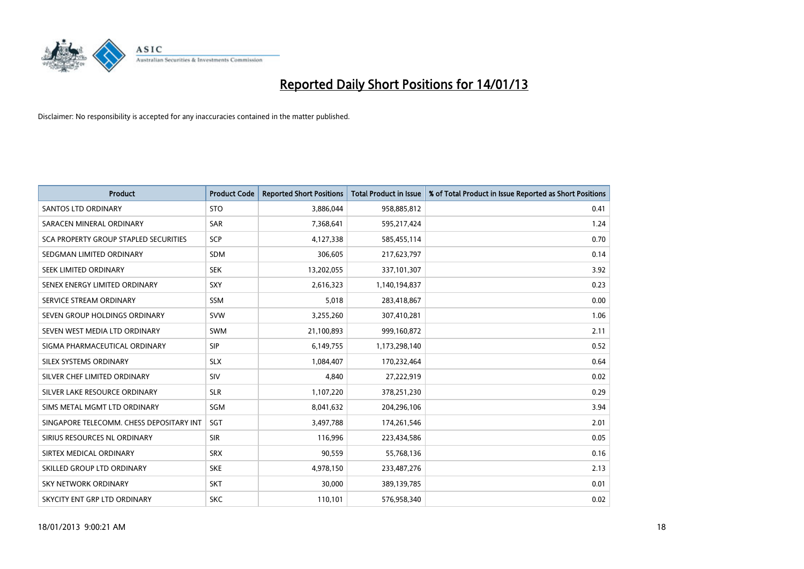

| <b>Product</b>                               | <b>Product Code</b> | <b>Reported Short Positions</b> | <b>Total Product in Issue</b> | % of Total Product in Issue Reported as Short Positions |
|----------------------------------------------|---------------------|---------------------------------|-------------------------------|---------------------------------------------------------|
| <b>SANTOS LTD ORDINARY</b>                   | <b>STO</b>          | 3,886,044                       | 958,885,812                   | 0.41                                                    |
| SARACEN MINERAL ORDINARY                     | <b>SAR</b>          | 7,368,641                       | 595,217,424                   | 1.24                                                    |
| <b>SCA PROPERTY GROUP STAPLED SECURITIES</b> | <b>SCP</b>          | 4,127,338                       | 585,455,114                   | 0.70                                                    |
| SEDGMAN LIMITED ORDINARY                     | <b>SDM</b>          | 306,605                         | 217,623,797                   | 0.14                                                    |
| <b>SEEK LIMITED ORDINARY</b>                 | <b>SEK</b>          | 13,202,055                      | 337,101,307                   | 3.92                                                    |
| SENEX ENERGY LIMITED ORDINARY                | SXY                 | 2,616,323                       | 1,140,194,837                 | 0.23                                                    |
| SERVICE STREAM ORDINARY                      | <b>SSM</b>          | 5.018                           | 283,418,867                   | 0.00                                                    |
| SEVEN GROUP HOLDINGS ORDINARY                | <b>SVW</b>          | 3,255,260                       | 307,410,281                   | 1.06                                                    |
| SEVEN WEST MEDIA LTD ORDINARY                | <b>SWM</b>          | 21,100,893                      | 999,160,872                   | 2.11                                                    |
| SIGMA PHARMACEUTICAL ORDINARY                | <b>SIP</b>          | 6,149,755                       | 1,173,298,140                 | 0.52                                                    |
| SILEX SYSTEMS ORDINARY                       | <b>SLX</b>          | 1,084,407                       | 170,232,464                   | 0.64                                                    |
| SILVER CHEF LIMITED ORDINARY                 | SIV                 | 4,840                           | 27,222,919                    | 0.02                                                    |
| SILVER LAKE RESOURCE ORDINARY                | <b>SLR</b>          | 1,107,220                       | 378,251,230                   | 0.29                                                    |
| SIMS METAL MGMT LTD ORDINARY                 | SGM                 | 8,041,632                       | 204,296,106                   | 3.94                                                    |
| SINGAPORE TELECOMM. CHESS DEPOSITARY INT     | <b>SGT</b>          | 3,497,788                       | 174,261,546                   | 2.01                                                    |
| SIRIUS RESOURCES NL ORDINARY                 | <b>SIR</b>          | 116,996                         | 223,434,586                   | 0.05                                                    |
| SIRTEX MEDICAL ORDINARY                      | <b>SRX</b>          | 90,559                          | 55,768,136                    | 0.16                                                    |
| SKILLED GROUP LTD ORDINARY                   | <b>SKE</b>          | 4,978,150                       | 233,487,276                   | 2.13                                                    |
| <b>SKY NETWORK ORDINARY</b>                  | <b>SKT</b>          | 30,000                          | 389,139,785                   | 0.01                                                    |
| SKYCITY ENT GRP LTD ORDINARY                 | <b>SKC</b>          | 110,101                         | 576,958,340                   | 0.02                                                    |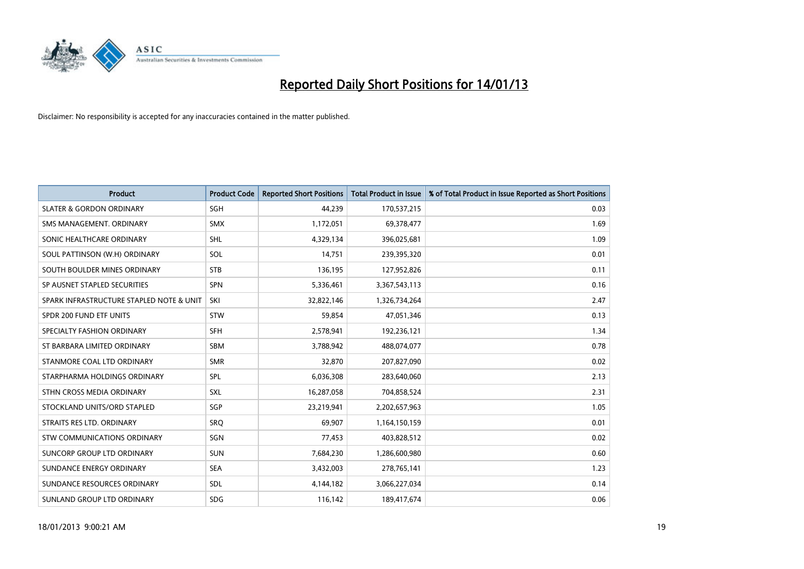

| <b>Product</b>                           | <b>Product Code</b> | <b>Reported Short Positions</b> | <b>Total Product in Issue</b> | % of Total Product in Issue Reported as Short Positions |
|------------------------------------------|---------------------|---------------------------------|-------------------------------|---------------------------------------------------------|
| <b>SLATER &amp; GORDON ORDINARY</b>      | <b>SGH</b>          | 44,239                          | 170,537,215                   | 0.03                                                    |
| SMS MANAGEMENT. ORDINARY                 | <b>SMX</b>          | 1,172,051                       | 69,378,477                    | 1.69                                                    |
| SONIC HEALTHCARE ORDINARY                | <b>SHL</b>          | 4,329,134                       | 396,025,681                   | 1.09                                                    |
| SOUL PATTINSON (W.H) ORDINARY            | SOL                 | 14,751                          | 239,395,320                   | 0.01                                                    |
| SOUTH BOULDER MINES ORDINARY             | <b>STB</b>          | 136,195                         | 127,952,826                   | 0.11                                                    |
| SP AUSNET STAPLED SECURITIES             | <b>SPN</b>          | 5,336,461                       | 3,367,543,113                 | 0.16                                                    |
| SPARK INFRASTRUCTURE STAPLED NOTE & UNIT | SKI                 | 32,822,146                      | 1,326,734,264                 | 2.47                                                    |
| SPDR 200 FUND ETF UNITS                  | <b>STW</b>          | 59,854                          | 47,051,346                    | 0.13                                                    |
| SPECIALTY FASHION ORDINARY               | <b>SFH</b>          | 2,578,941                       | 192,236,121                   | 1.34                                                    |
| ST BARBARA LIMITED ORDINARY              | SBM                 | 3,788,942                       | 488,074,077                   | 0.78                                                    |
| STANMORE COAL LTD ORDINARY               | <b>SMR</b>          | 32,870                          | 207,827,090                   | 0.02                                                    |
| STARPHARMA HOLDINGS ORDINARY             | SPL                 | 6,036,308                       | 283,640,060                   | 2.13                                                    |
| STHN CROSS MEDIA ORDINARY                | <b>SXL</b>          | 16,287,058                      | 704,858,524                   | 2.31                                                    |
| STOCKLAND UNITS/ORD STAPLED              | <b>SGP</b>          | 23,219,941                      | 2,202,657,963                 | 1.05                                                    |
| STRAITS RES LTD. ORDINARY                | SRO                 | 69,907                          | 1,164,150,159                 | 0.01                                                    |
| <b>STW COMMUNICATIONS ORDINARY</b>       | SGN                 | 77,453                          | 403,828,512                   | 0.02                                                    |
| SUNCORP GROUP LTD ORDINARY               | <b>SUN</b>          | 7,684,230                       | 1,286,600,980                 | 0.60                                                    |
| SUNDANCE ENERGY ORDINARY                 | <b>SEA</b>          | 3,432,003                       | 278,765,141                   | 1.23                                                    |
| SUNDANCE RESOURCES ORDINARY              | <b>SDL</b>          | 4,144,182                       | 3,066,227,034                 | 0.14                                                    |
| SUNLAND GROUP LTD ORDINARY               | <b>SDG</b>          | 116,142                         | 189,417,674                   | 0.06                                                    |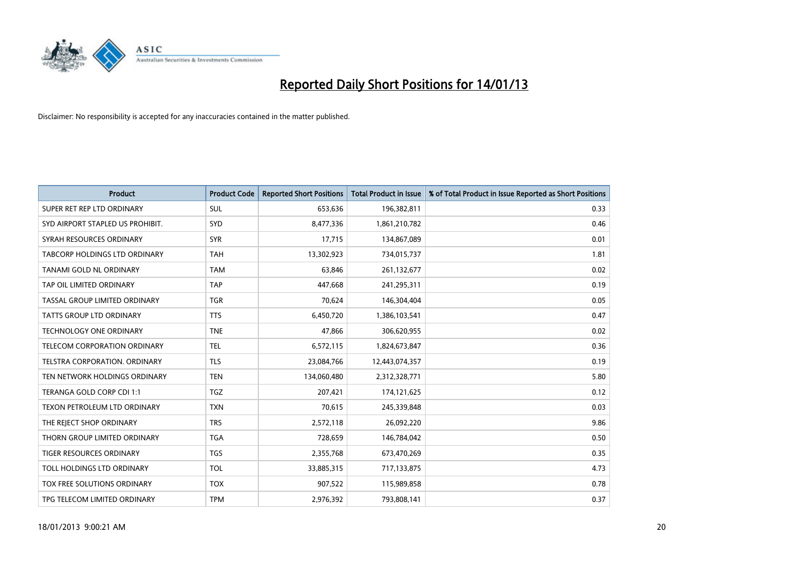

| <b>Product</b>                      | <b>Product Code</b> | <b>Reported Short Positions</b> | <b>Total Product in Issue</b> | % of Total Product in Issue Reported as Short Positions |
|-------------------------------------|---------------------|---------------------------------|-------------------------------|---------------------------------------------------------|
| SUPER RET REP LTD ORDINARY          | <b>SUL</b>          | 653,636                         | 196,382,811                   | 0.33                                                    |
| SYD AIRPORT STAPLED US PROHIBIT.    | <b>SYD</b>          | 8,477,336                       | 1,861,210,782                 | 0.46                                                    |
| SYRAH RESOURCES ORDINARY            | <b>SYR</b>          | 17,715                          | 134,867,089                   | 0.01                                                    |
| TABCORP HOLDINGS LTD ORDINARY       | <b>TAH</b>          | 13,302,923                      | 734,015,737                   | 1.81                                                    |
| TANAMI GOLD NL ORDINARY             | <b>TAM</b>          | 63,846                          | 261,132,677                   | 0.02                                                    |
| TAP OIL LIMITED ORDINARY            | TAP                 | 447,668                         | 241,295,311                   | 0.19                                                    |
| TASSAL GROUP LIMITED ORDINARY       | <b>TGR</b>          | 70,624                          | 146,304,404                   | 0.05                                                    |
| TATTS GROUP LTD ORDINARY            | <b>TTS</b>          | 6,450,720                       | 1,386,103,541                 | 0.47                                                    |
| <b>TECHNOLOGY ONE ORDINARY</b>      | <b>TNE</b>          | 47,866                          | 306,620,955                   | 0.02                                                    |
| <b>TELECOM CORPORATION ORDINARY</b> | <b>TEL</b>          | 6,572,115                       | 1,824,673,847                 | 0.36                                                    |
| TELSTRA CORPORATION. ORDINARY       | <b>TLS</b>          | 23,084,766                      | 12,443,074,357                | 0.19                                                    |
| TEN NETWORK HOLDINGS ORDINARY       | <b>TEN</b>          | 134,060,480                     | 2,312,328,771                 | 5.80                                                    |
| TERANGA GOLD CORP CDI 1:1           | <b>TGZ</b>          | 207,421                         | 174,121,625                   | 0.12                                                    |
| TEXON PETROLEUM LTD ORDINARY        | <b>TXN</b>          | 70,615                          | 245,339,848                   | 0.03                                                    |
| THE REJECT SHOP ORDINARY            | <b>TRS</b>          | 2,572,118                       | 26,092,220                    | 9.86                                                    |
| THORN GROUP LIMITED ORDINARY        | <b>TGA</b>          | 728,659                         | 146,784,042                   | 0.50                                                    |
| TIGER RESOURCES ORDINARY            | <b>TGS</b>          | 2,355,768                       | 673,470,269                   | 0.35                                                    |
| TOLL HOLDINGS LTD ORDINARY          | <b>TOL</b>          | 33,885,315                      | 717,133,875                   | 4.73                                                    |
| TOX FREE SOLUTIONS ORDINARY         | <b>TOX</b>          | 907,522                         | 115,989,858                   | 0.78                                                    |
| TPG TELECOM LIMITED ORDINARY        | <b>TPM</b>          | 2,976,392                       | 793,808,141                   | 0.37                                                    |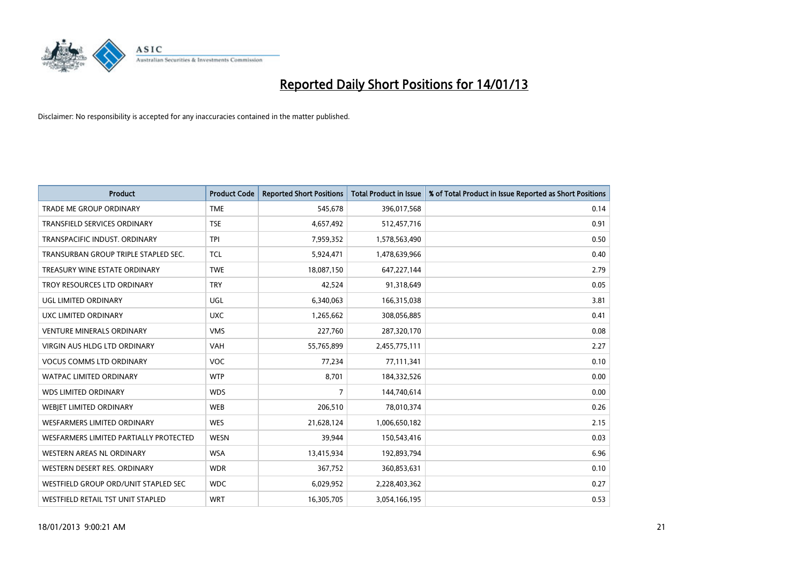

| <b>Product</b>                         | <b>Product Code</b> | <b>Reported Short Positions</b> | <b>Total Product in Issue</b> | % of Total Product in Issue Reported as Short Positions |
|----------------------------------------|---------------------|---------------------------------|-------------------------------|---------------------------------------------------------|
| <b>TRADE ME GROUP ORDINARY</b>         | <b>TME</b>          | 545,678                         | 396,017,568                   | 0.14                                                    |
| TRANSFIELD SERVICES ORDINARY           | <b>TSE</b>          | 4,657,492                       | 512,457,716                   | 0.91                                                    |
| TRANSPACIFIC INDUST, ORDINARY          | <b>TPI</b>          | 7,959,352                       | 1,578,563,490                 | 0.50                                                    |
| TRANSURBAN GROUP TRIPLE STAPLED SEC.   | <b>TCL</b>          | 5,924,471                       | 1,478,639,966                 | 0.40                                                    |
| TREASURY WINE ESTATE ORDINARY          | <b>TWE</b>          | 18,087,150                      | 647,227,144                   | 2.79                                                    |
| TROY RESOURCES LTD ORDINARY            | <b>TRY</b>          | 42,524                          | 91,318,649                    | 0.05                                                    |
| UGL LIMITED ORDINARY                   | UGL                 | 6,340,063                       | 166,315,038                   | 3.81                                                    |
| UXC LIMITED ORDINARY                   | <b>UXC</b>          | 1,265,662                       | 308,056,885                   | 0.41                                                    |
| <b>VENTURE MINERALS ORDINARY</b>       | <b>VMS</b>          | 227,760                         | 287,320,170                   | 0.08                                                    |
| <b>VIRGIN AUS HLDG LTD ORDINARY</b>    | <b>VAH</b>          | 55,765,899                      | 2,455,775,111                 | 2.27                                                    |
| <b>VOCUS COMMS LTD ORDINARY</b>        | <b>VOC</b>          | 77,234                          | 77,111,341                    | 0.10                                                    |
| <b>WATPAC LIMITED ORDINARY</b>         | <b>WTP</b>          | 8,701                           | 184,332,526                   | 0.00                                                    |
| <b>WDS LIMITED ORDINARY</b>            | <b>WDS</b>          | $\overline{7}$                  | 144,740,614                   | 0.00                                                    |
| WEBIET LIMITED ORDINARY                | <b>WEB</b>          | 206,510                         | 78,010,374                    | 0.26                                                    |
| <b>WESFARMERS LIMITED ORDINARY</b>     | <b>WES</b>          | 21,628,124                      | 1,006,650,182                 | 2.15                                                    |
| WESFARMERS LIMITED PARTIALLY PROTECTED | <b>WESN</b>         | 39,944                          | 150,543,416                   | 0.03                                                    |
| WESTERN AREAS NL ORDINARY              | <b>WSA</b>          | 13,415,934                      | 192,893,794                   | 6.96                                                    |
| WESTERN DESERT RES. ORDINARY           | <b>WDR</b>          | 367,752                         | 360,853,631                   | 0.10                                                    |
| WESTFIELD GROUP ORD/UNIT STAPLED SEC   | <b>WDC</b>          | 6,029,952                       | 2,228,403,362                 | 0.27                                                    |
| WESTFIELD RETAIL TST UNIT STAPLED      | <b>WRT</b>          | 16,305,705                      | 3,054,166,195                 | 0.53                                                    |